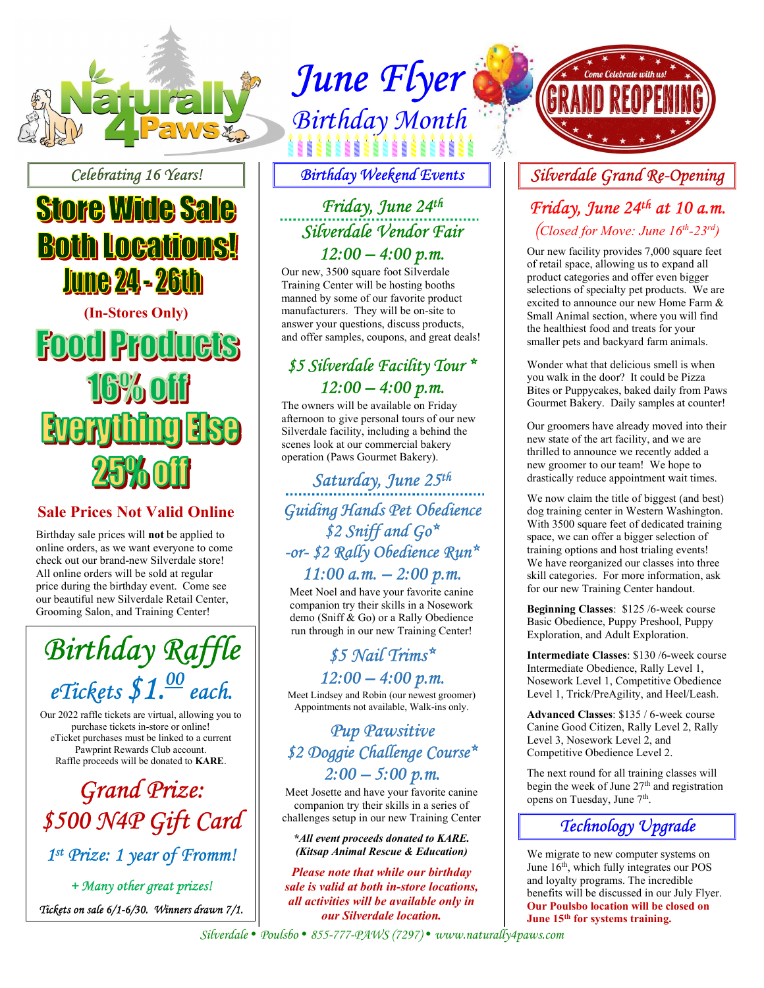

Celebrating 16 Years!

## **Store Wide Sale Both Locations! June 24 - 26th**

(In-Stores Only) **Food Products Iby of Everything 188** 

#### Sale Prices Not Valid Online

Birthday sale prices will not be applied to online orders, as we want everyone to come check out our brand-new Silverdale store! All online orders will be sold at regular price during the birthday event. Come see our beautiful new Silverdale Retail Center, Grooming Salon, and Training Center!

Birthday Raffle eTickets  $$1.<sup>00</sup>$  each.

Our 2022 raffle tickets are virtual, allowing you to purchase tickets in-store or online! eTicket purchases must be linked to a current Pawprint Rewards Club account. Raffle proceeds will be donated to KARE.

Grand Prize: \$500 N4P Gift Card 1 st Prize: 1 year of Fromm!

+ Many other great prizes! Tickets on sale 6/1-6/30. Winners drawn 7/1.

# June Flyer WS Birthday Month

Birthday Weekend Events

#### Friday, June 24th Silverdale Vendor Fair

 $12:00 - 4:00 \text{ p.m.}$ 

Our new, 3500 square foot Silverdale Training Center will be hosting booths manned by some of our favorite product manufacturers. They will be on-site to answer your questions, discuss products, and offer samples, coupons, and great deals!

#### \$5 Silverdale Facility Tour \*  $12:00 - 4:00 p.m.$

The owners will be available on Friday afternoon to give personal tours of our new Silverdale facility, including a behind the scenes look at our commercial bakery operation (Paws Gourmet Bakery).

Saturday, June 25th I Guiding Hands Pet Obedience \$2 Sniff and Go\* -or- \$2 Rally Obedience Run\*  $11:00$  a.m.  $-2:00$  p.m.

Meet Noel and have your favorite canine companion try their skills in a Nosework demo (Sniff & Go) or a Rally Obedience run through in our new Training Center!

#### \$5 Nail Trims\*  $12:00 - 4:00 p.m.$

Meet Lindsey and Robin (our newest groomer) Appointments not available, Walk-ins only.

#### Pup Pawsitive \$2 Doggie Challenge Course\*  $2:00 - 5:00 p.m.$

Meet Josette and have your favorite canine companion try their skills in a series of challenges setup in our new Training Center

\*All event proceeds donated to KARE. (Kitsap Animal Rescue & Education)

Please note that while our birthday sale is valid at both in-store locations, all activities will be available only in our Silverdale location.



#### Silverdale Grand Re-Opening

#### Friday, June 24th at 10 a.m. (Closed for Move: June  $16^{th}$ -23<sup>rd</sup>)

Our new facility provides 7,000 square feet of retail space, allowing us to expand all product categories and offer even bigger selections of specialty pet products. We are excited to announce our new Home Farm & Small Animal section, where you will find the healthiest food and treats for your smaller pets and backyard farm animals.

Wonder what that delicious smell is when you walk in the door? It could be Pizza Bites or Puppycakes, baked daily from Paws Gourmet Bakery. Daily samples at counter!

Our groomers have already moved into their new state of the art facility, and we are thrilled to announce we recently added a new groomer to our team! We hope to drastically reduce appointment wait times.

We now claim the title of biggest (and best) dog training center in Western Washington. With 3500 square feet of dedicated training space, we can offer a bigger selection of training options and host trialing events! We have reorganized our classes into three skill categories. For more information, ask for our new Training Center handout.

Beginning Classes: \$125 /6-week course Basic Obedience, Puppy Preshool, Puppy Exploration, and Adult Exploration.

Intermediate Classes: \$130 /6-week course Intermediate Obedience, Rally Level 1, Nosework Level 1, Competitive Obedience Level 1, Trick/PreAgility, and Heel/Leash.

Advanced Classes: \$135 / 6-week course Canine Good Citizen, Rally Level 2, Rally Level 3, Nosework Level 2, and Competitive Obedience Level 2.

The next round for all training classes will begin the week of June 27<sup>th</sup> and registration opens on Tuesday, June 7<sup>th</sup>.



We migrate to new computer systems on June 16<sup>th</sup>, which fully integrates our POS and loyalty programs. The incredible benefits will be discussed in our July Flyer. Our Poulsbo location will be closed on June 15<sup>th</sup> for systems training.

Silverdale · Poulsbo · 855-777-PAWS (7297) · www.naturally4paws.com